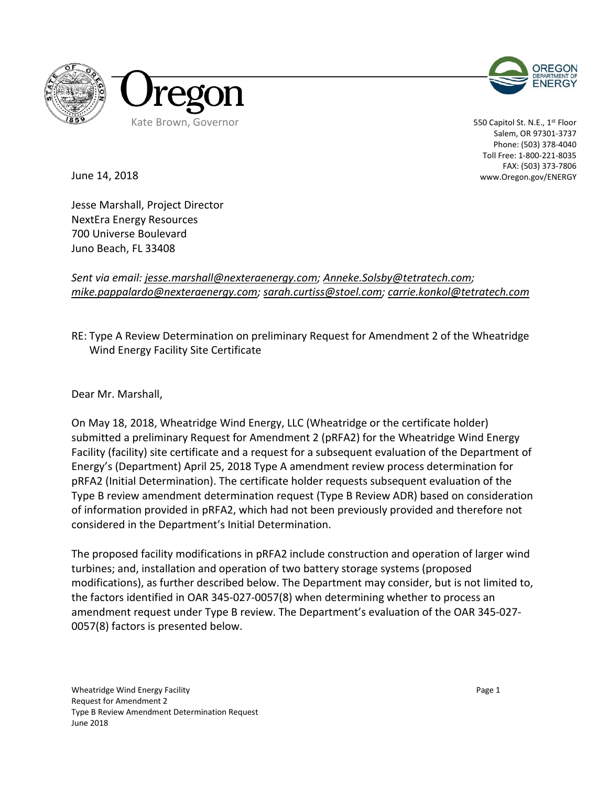



550 Capitol St. N.E., 1st Floor Salem, OR 97301-3737 Phone: (503) 378-4040 Toll Free: 1-800-221-8035 FAX: (503) 373-7806 www.Oregon.gov/ENERGY

June 14, 2018

Jesse Marshall, Project Director NextEra Energy Resources 700 Universe Boulevard Juno Beach, FL 33408

### *Sent via email: jesse.marshall@nexteraenergy.com; Anneke.Solsby@tetratech.com; mike.pappalardo@nexteraenergy.com; sarah.curtiss@stoel.com; carrie.konkol@tetratech.com*

## RE: Type A Review Determination on preliminary Request for Amendment 2 of the Wheatridge Wind Energy Facility Site Certificate

Dear Mr. Marshall,

On May 18, 2018, Wheatridge Wind Energy, LLC (Wheatridge or the certificate holder) submitted a preliminary Request for Amendment 2 (pRFA2) for the Wheatridge Wind Energy Facility (facility) site certificate and a request for a subsequent evaluation of the Department of Energy's (Department) April 25, 2018 Type A amendment review process determination for pRFA2 (Initial Determination). The certificate holder requests subsequent evaluation of the Type B review amendment determination request (Type B Review ADR) based on consideration of information provided in pRFA2, which had not been previously provided and therefore not considered in the Department's Initial Determination.

The proposed facility modifications in pRFA2 include construction and operation of larger wind turbines; and, installation and operation of two battery storage systems (proposed modifications), as further described below. The Department may consider, but is not limited to, the factors identified in OAR 345-027-0057(8) when determining whether to process an amendment request under Type B review. The Department's evaluation of the OAR 345-027- 0057(8) factors is presented below.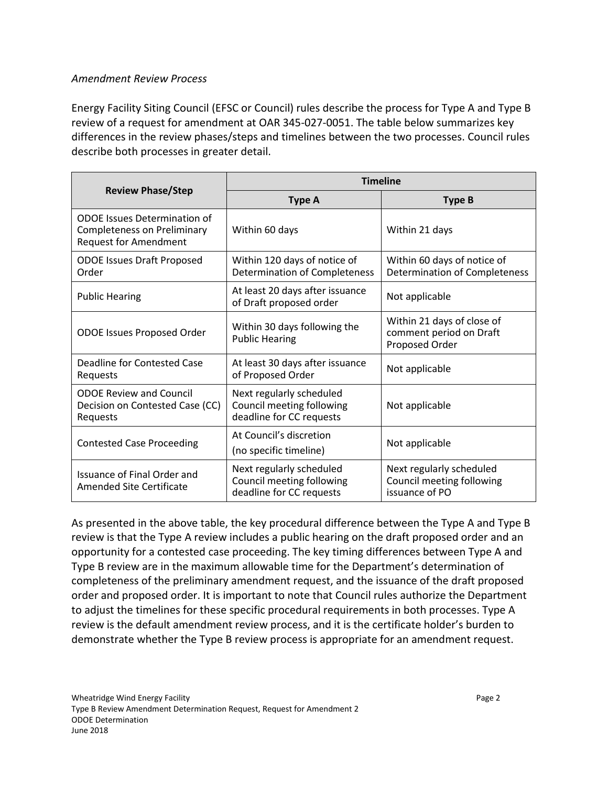#### *Amendment Review Process*

Energy Facility Siting Council (EFSC or Council) rules describe the process for Type A and Type B review of a request for amendment at OAR 345-027-0051. The table below summarizes key differences in the review phases/steps and timelines between the two processes. Council rules describe both processes in greater detail.

|                                                                                                           | <b>Timeline</b>                                                                   |                                                                         |  |
|-----------------------------------------------------------------------------------------------------------|-----------------------------------------------------------------------------------|-------------------------------------------------------------------------|--|
| <b>Review Phase/Step</b>                                                                                  | <b>Type A</b>                                                                     | <b>Type B</b>                                                           |  |
| <b>ODOE</b> Issues Determination of<br><b>Completeness on Preliminary</b><br><b>Request for Amendment</b> | Within 60 days                                                                    | Within 21 days                                                          |  |
| <b>ODOE Issues Draft Proposed</b><br>Order                                                                | Within 120 days of notice of<br>Determination of Completeness                     | Within 60 days of notice of<br>Determination of Completeness            |  |
| <b>Public Hearing</b>                                                                                     | At least 20 days after issuance<br>of Draft proposed order                        | Not applicable                                                          |  |
| <b>ODOE Issues Proposed Order</b>                                                                         | Within 30 days following the<br><b>Public Hearing</b>                             | Within 21 days of close of<br>comment period on Draft<br>Proposed Order |  |
| Deadline for Contested Case<br>Requests                                                                   | At least 30 days after issuance<br>of Proposed Order                              | Not applicable                                                          |  |
| <b>ODOE Review and Council</b><br>Decision on Contested Case (CC)<br>Requests                             | Next regularly scheduled<br>Council meeting following<br>deadline for CC requests | Not applicable                                                          |  |
| <b>Contested Case Proceeding</b>                                                                          | At Council's discretion<br>(no specific timeline)                                 | Not applicable                                                          |  |
| Issuance of Final Order and<br>Amended Site Certificate                                                   | Next regularly scheduled<br>Council meeting following<br>deadline for CC requests | Next regularly scheduled<br>Council meeting following<br>issuance of PO |  |

As presented in the above table, the key procedural difference between the Type A and Type B review is that the Type A review includes a public hearing on the draft proposed order and an opportunity for a contested case proceeding. The key timing differences between Type A and Type B review are in the maximum allowable time for the Department's determination of completeness of the preliminary amendment request, and the issuance of the draft proposed order and proposed order. It is important to note that Council rules authorize the Department to adjust the timelines for these specific procedural requirements in both processes. Type A review is the default amendment review process, and it is the certificate holder's burden to demonstrate whether the Type B review process is appropriate for an amendment request.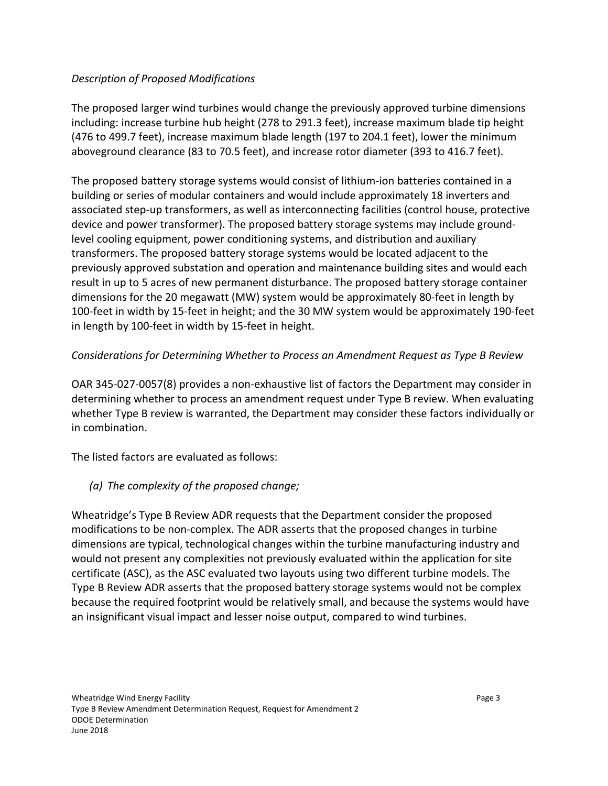### *Description of Proposed Modifications*

The proposed larger wind turbines would change the previously approved turbine dimensions including: increase turbine hub height (278 to 291.3 feet), increase maximum blade tip height (476 to 499.7 feet), increase maximum blade length (197 to 204.1 feet), lower the minimum aboveground clearance (83 to 70.5 feet), and increase rotor diameter (393 to 416.7 feet).

The proposed battery storage systems would consist of lithium-ion batteries contained in a building or series of modular containers and would include approximately 18 inverters and associated step-up transformers, as well as interconnecting facilities (control house, protective device and power transformer). The proposed battery storage systems may include groundlevel cooling equipment, power conditioning systems, and distribution and auxiliary transformers. The proposed battery storage systems would be located adjacent to the previously approved substation and operation and maintenance building sites and would each result in up to 5 acres of new permanent disturbance. The proposed battery storage container dimensions for the 20 megawatt (MW) system would be approximately 80-feet in length by 100-feet in width by 15-feet in height; and the 30 MW system would be approximately 190-feet in length by 100-feet in width by 15-feet in height.

## *Considerations for Determining Whether to Process an Amendment Request as Type B Review*

OAR 345-027-0057(8) provides a non-exhaustive list of factors the Department may consider in determining whether to process an amendment request under Type B review. When evaluating whether Type B review is warranted, the Department may consider these factors individually or in combination.

The listed factors are evaluated as follows:

*(a) The complexity of the proposed change;*

Wheatridge's Type B Review ADR requests that the Department consider the proposed modifications to be non-complex. The ADR asserts that the proposed changes in turbine dimensions are typical, technological changes within the turbine manufacturing industry and would not present any complexities not previously evaluated within the application for site certificate (ASC), as the ASC evaluated two layouts using two different turbine models. The Type B Review ADR asserts that the proposed battery storage systems would not be complex because the required footprint would be relatively small, and because the systems would have an insignificant visual impact and lesser noise output, compared to wind turbines.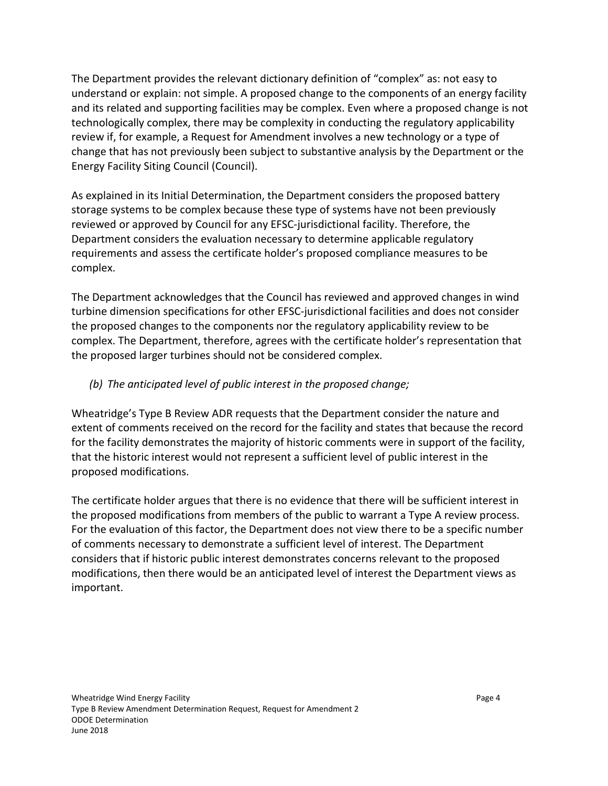The Department provides the relevant dictionary definition of "complex" as: not easy to understand or explain: not simple. A proposed change to the components of an energy facility and its related and supporting facilities may be complex. Even where a proposed change is not technologically complex, there may be complexity in conducting the regulatory applicability review if, for example, a Request for Amendment involves a new technology or a type of change that has not previously been subject to substantive analysis by the Department or the Energy Facility Siting Council (Council).

As explained in its Initial Determination, the Department considers the proposed battery storage systems to be complex because these type of systems have not been previously reviewed or approved by Council for any EFSC-jurisdictional facility. Therefore, the Department considers the evaluation necessary to determine applicable regulatory requirements and assess the certificate holder's proposed compliance measures to be complex.

The Department acknowledges that the Council has reviewed and approved changes in wind turbine dimension specifications for other EFSC-jurisdictional facilities and does not consider the proposed changes to the components nor the regulatory applicability review to be complex. The Department, therefore, agrees with the certificate holder's representation that the proposed larger turbines should not be considered complex.

### *(b) The anticipated level of public interest in the proposed change;*

Wheatridge's Type B Review ADR requests that the Department consider the nature and extent of comments received on the record for the facility and states that because the record for the facility demonstrates the majority of historic comments were in support of the facility, that the historic interest would not represent a sufficient level of public interest in the proposed modifications.

The certificate holder argues that there is no evidence that there will be sufficient interest in the proposed modifications from members of the public to warrant a Type A review process. For the evaluation of this factor, the Department does not view there to be a specific number of comments necessary to demonstrate a sufficient level of interest. The Department considers that if historic public interest demonstrates concerns relevant to the proposed modifications, then there would be an anticipated level of interest the Department views as important.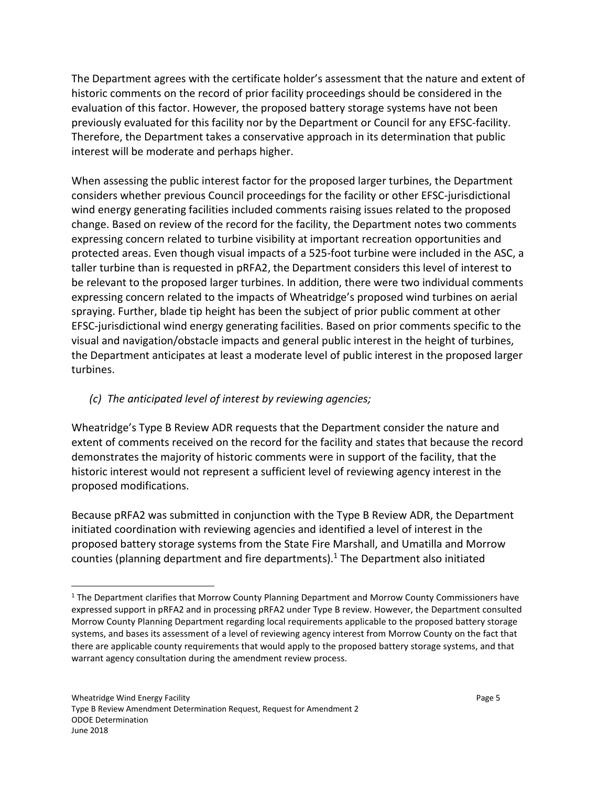The Department agrees with the certificate holder's assessment that the nature and extent of historic comments on the record of prior facility proceedings should be considered in the evaluation of this factor. However, the proposed battery storage systems have not been previously evaluated for this facility nor by the Department or Council for any EFSC-facility. Therefore, the Department takes a conservative approach in its determination that public interest will be moderate and perhaps higher.

When assessing the public interest factor for the proposed larger turbines, the Department considers whether previous Council proceedings for the facility or other EFSC-jurisdictional wind energy generating facilities included comments raising issues related to the proposed change. Based on review of the record for the facility, the Department notes two comments expressing concern related to turbine visibility at important recreation opportunities and protected areas. Even though visual impacts of a 525-foot turbine were included in the ASC, a taller turbine than is requested in pRFA2, the Department considers this level of interest to be relevant to the proposed larger turbines. In addition, there were two individual comments expressing concern related to the impacts of Wheatridge's proposed wind turbines on aerial spraying. Further, blade tip height has been the subject of prior public comment at other EFSC-jurisdictional wind energy generating facilities. Based on prior comments specific to the visual and navigation/obstacle impacts and general public interest in the height of turbines, the Department anticipates at least a moderate level of public interest in the proposed larger turbines.

# *(c) The anticipated level of interest by reviewing agencies;*

Wheatridge's Type B Review ADR requests that the Department consider the nature and extent of comments received on the record for the facility and states that because the record demonstrates the majority of historic comments were in support of the facility, that the historic interest would not represent a sufficient level of reviewing agency interest in the proposed modifications.

Because pRFA2 was submitted in conjunction with the Type B Review ADR, the Department initiated coordination with reviewing agencies and identified a level of interest in the proposed battery storage systems from the State Fire Marshall, and Umatilla and Morrow counties (planning department and fire departments). <sup>1</sup> The Department also initiated

<sup>&</sup>lt;sup>1</sup> The Department clarifies that Morrow County Planning Department and Morrow County Commissioners have expressed support in pRFA2 and in processing pRFA2 under Type B review. However, the Department consulted Morrow County Planning Department regarding local requirements applicable to the proposed battery storage systems, and bases its assessment of a level of reviewing agency interest from Morrow County on the fact that there are applicable county requirements that would apply to the proposed battery storage systems, and that warrant agency consultation during the amendment review process.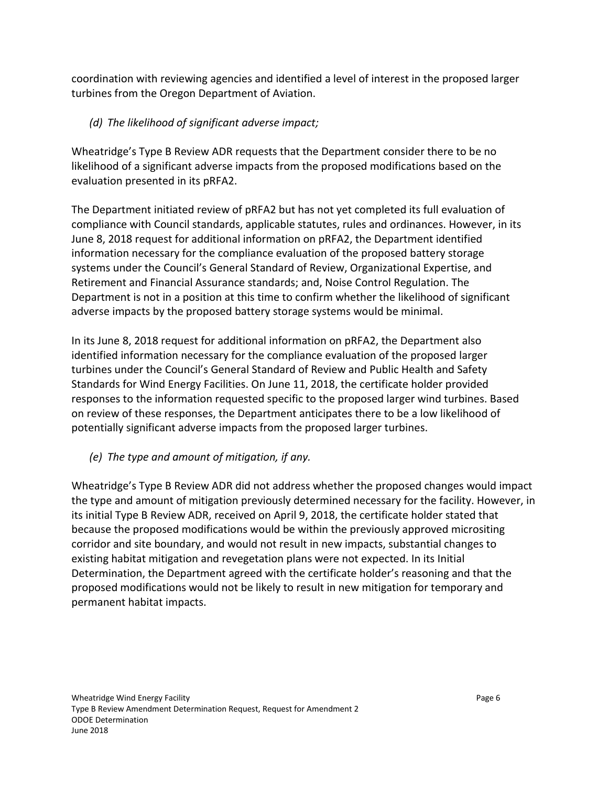coordination with reviewing agencies and identified a level of interest in the proposed larger turbines from the Oregon Department of Aviation.

# *(d) The likelihood of significant adverse impact;*

Wheatridge's Type B Review ADR requests that the Department consider there to be no likelihood of a significant adverse impacts from the proposed modifications based on the evaluation presented in its pRFA2.

The Department initiated review of pRFA2 but has not yet completed its full evaluation of compliance with Council standards, applicable statutes, rules and ordinances. However, in its June 8, 2018 request for additional information on pRFA2, the Department identified information necessary for the compliance evaluation of the proposed battery storage systems under the Council's General Standard of Review, Organizational Expertise, and Retirement and Financial Assurance standards; and, Noise Control Regulation. The Department is not in a position at this time to confirm whether the likelihood of significant adverse impacts by the proposed battery storage systems would be minimal.

In its June 8, 2018 request for additional information on pRFA2, the Department also identified information necessary for the compliance evaluation of the proposed larger turbines under the Council's General Standard of Review and Public Health and Safety Standards for Wind Energy Facilities. On June 11, 2018, the certificate holder provided responses to the information requested specific to the proposed larger wind turbines. Based on review of these responses, the Department anticipates there to be a low likelihood of potentially significant adverse impacts from the proposed larger turbines.

## *(e) The type and amount of mitigation, if any.*

Wheatridge's Type B Review ADR did not address whether the proposed changes would impact the type and amount of mitigation previously determined necessary for the facility. However, in its initial Type B Review ADR, received on April 9, 2018, the certificate holder stated that because the proposed modifications would be within the previously approved micrositing corridor and site boundary, and would not result in new impacts, substantial changes to existing habitat mitigation and revegetation plans were not expected. In its Initial Determination, the Department agreed with the certificate holder's reasoning and that the proposed modifications would not be likely to result in new mitigation for temporary and permanent habitat impacts.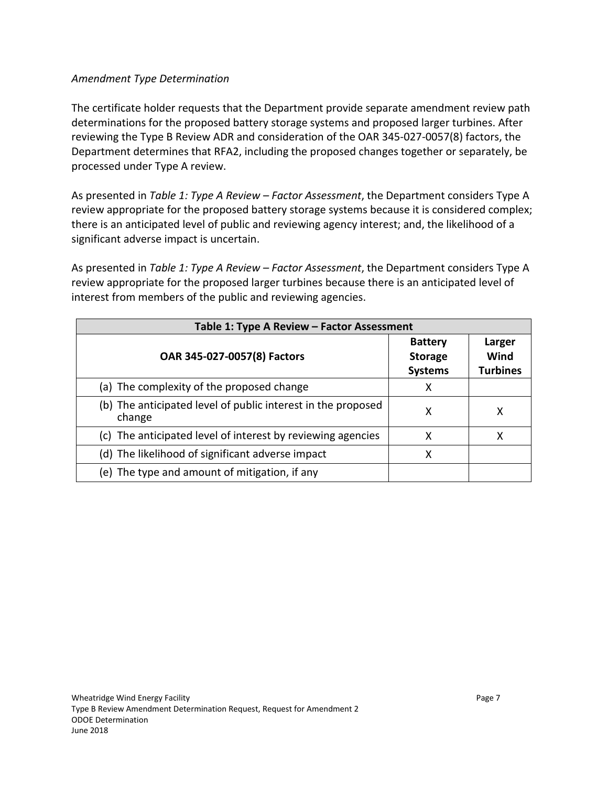### *Amendment Type Determination*

The certificate holder requests that the Department provide separate amendment review path determinations for the proposed battery storage systems and proposed larger turbines. After reviewing the Type B Review ADR and consideration of the OAR 345-027-0057(8) factors, the Department determines that RFA2, including the proposed changes together or separately, be processed under Type A review.

As presented in *Table 1: Type A Review – Factor Assessment*, the Department considers Type A review appropriate for the proposed battery storage systems because it is considered complex; there is an anticipated level of public and reviewing agency interest; and, the likelihood of a significant adverse impact is uncertain.

As presented in *Table 1: Type A Review – Factor Assessment*, the Department considers Type A review appropriate for the proposed larger turbines because there is an anticipated level of interest from members of the public and reviewing agencies.

| Table 1: Type A Review - Factor Assessment                             |                                                    |                                   |  |
|------------------------------------------------------------------------|----------------------------------------------------|-----------------------------------|--|
| OAR 345-027-0057(8) Factors                                            | <b>Battery</b><br><b>Storage</b><br><b>Systems</b> | Larger<br>Wind<br><b>Turbines</b> |  |
| (a) The complexity of the proposed change                              | x                                                  |                                   |  |
| (b) The anticipated level of public interest in the proposed<br>change | х                                                  | х                                 |  |
| (c) The anticipated level of interest by reviewing agencies            | X                                                  | х                                 |  |
| (d) The likelihood of significant adverse impact                       | x                                                  |                                   |  |
| (e) The type and amount of mitigation, if any                          |                                                    |                                   |  |